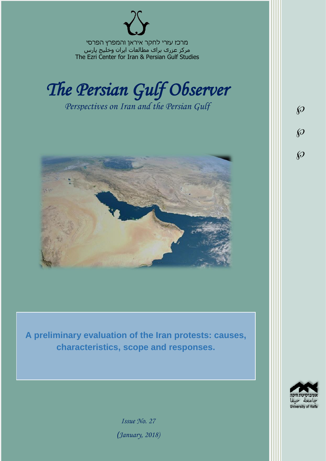מרכז עזרי לחקר איראן והמפרץ הפרסי مرکز عزری برای مطالعات ایران وخلیج پارس The Ezri Center for Iran & Persian Gulf Studies



*Perspectives on Iran and the Persian Gulf* 



**A preliminary evaluation of the Iran protests: causes, characteristics, scope and responses.**



 $\wp$ 

 $\wp$ 

 $\wp$ 

*Issue No. 27 )January, 2018)*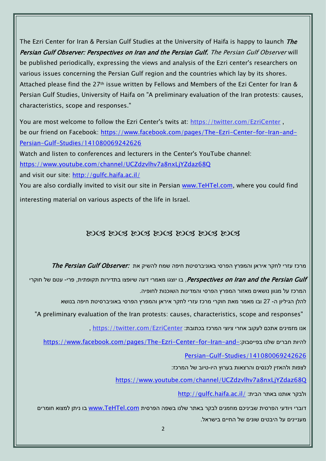The Ezri Center for Iran & Persian Gulf Studies at the University of Haifa is happy to launch *The* Persian Gulf Observer: Perspectives on Iran and the Persian Gulf. The Persian Gulf Observer will be published periodically, expressing the views and analysis of the Ezri center's researchers on various issues concerning the Persian Gulf region and the countries which lay by its shores. Attached please find the 27<sup>th</sup> issue written by Fellows and Members of the Ezi Center for Iran & Persian Gulf Studies, University of Haifa on "A preliminary evaluation of the Iran protests: causes, characteristics, scope and responses."

You are most welcome to follow the Ezri Center's twits at: <https://twitter.com/EzriCenter>, be our friend on Facebook: [https://www.facebook.com/pages/The-Ezri-Center-for-Iran-and-](https://www.facebook.com/pages/The-Ezri-Center-for-Iran-and-Persian-Gulf-Studies/141080069242626)[Persian-Gulf-Studies/141080069242626](https://www.facebook.com/pages/The-Ezri-Center-for-Iran-and-Persian-Gulf-Studies/141080069242626)

Watch and listen to conferences and lecturers in the Center's YouTube channel: <https://www.youtube.com/channel/UCZdzvlhv7a8nxLjYZdaz68Q>

and visit our site:<http://gulfc.haifa.ac.il/>

You are also cordially invited to visit our site in Persian [www.TeHTel.com,](http://www.tehtel.com/) where you could find interesting material on various aspects of the life in Israel.

# 2003 2003 2003 2003 2003 2003

מרכז עזרי לחקר איראן והמפרץ הפרסי באוניברסיטת חיפה שמח להשיק את :The Persian Gulf Observer

Perspectives on Iran and the Persian Gulf . בו יוצגו מאמרי דעה שיופצו בתדירות תקופתית, פרי- עטם של חוקרי המרכז על מגוון נושאים מאזור המפרץ הפרסי והמדינות השוכנות לחופיה.

להלן הגיליון ה- 27 ובו מאמר מאת חוקרי מרכז עזרי לחקר איראן והמפרץ הפרסי באוניברסיטת חיפה בנושא

"A preliminary evaluation of the Iran protests: causes, characteristics, scope and responses"

אנו מזמינים אתכם לעקוב אחרי ציוצי המרכז בכתובת: [EzriCenter/com.twitter://https](https://twitter.com/EzriCenter) ,

[https://www.facebook.com/pages/The-Ezri-Center-for-Iran-and-](https://www.facebook.com/pages/The-Ezri-Center-for-Iran-and-Persian-Gulf-Studies/141080069242626):כהיות חברים שלנו בפייסבוק

[Persian-Gulf-Studies/141080069242626](https://www.facebook.com/pages/The-Ezri-Center-for-Iran-and-Persian-Gulf-Studies/141080069242626)

לצפות ולהאזין לכנסים והרצאות בערוץ היו-טיוב של המרכז:

<https://www.youtube.com/channel/UCZdzvlhv7a8nxLjYZdaz68Q>

<http://gulfc.haifa.ac.il/> ולבקר אותנו באתר הבית

דוברי ויודעי הפרסית שביניכם מוזמנים לבקר באתר שלנו בשפה הפרסית [com.TeHTel.www](http://www.tehtel.com/) בו ניתן למצוא חומרים מעניינים על היבטים שונים של החיים בישראל.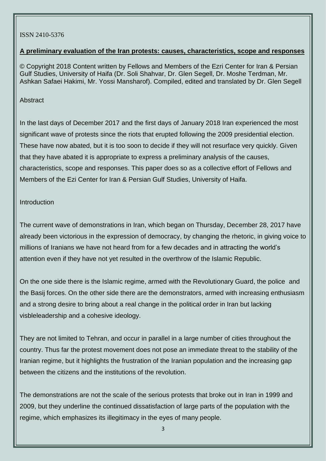#### ISSN 2410-5376

## **A preliminary evaluation of the Iran protests: causes, characteristics, scope and responses**

© Copyright 2018 Content written by Fellows and Members of the Ezri Center for Iran & Persian Gulf Studies, University of Haifa (Dr. Soli Shahvar, Dr. Glen Segell, Dr. Moshe Terdman, Mr. Ashkan Safaei Hakimi, Mr. Yossi Mansharof). Compiled, edited and translated by Dr. Glen Segell

## Abstract

In the last days of December 2017 and the first days of January 2018 Iran experienced the most significant wave of protests since the riots that erupted following the 2009 presidential election. These have now abated, but it is too soon to decide if they will not resurface very quickly. Given that they have abated it is appropriate to express a preliminary analysis of the causes, characteristics, scope and responses. This paper does so as a collective effort of Fellows and Members of the Ezi Center for Iran & Persian Gulf Studies, University of Haifa.

# Introduction

The current wave of demonstrations in Iran, which began on Thursday, December 28, 2017 have already been victorious in the expression of democracy, by changing the rhetoric, in giving voice to millions of Iranians we have not heard from for a few decades and in attracting the world's attention even if they have not yet resulted in the overthrow of the Islamic Republic.

On the one side there is the Islamic regime, armed with the Revolutionary Guard, the police and the Basij forces. On the other side there are the demonstrators, armed with increasing enthusiasm and a strong desire to bring about a real change in the political order in Iran but lacking visbleleadership and a cohesive ideology.

They are not limited to Tehran, and occur in parallel in a large number of cities throughout the country. Thus far the protest movement does not pose an immediate threat to the stability of the Iranian regime, but it highlights the frustration of the Iranian population and the increasing gap between the citizens and the institutions of the revolution.

The demonstrations are not the scale of the serious protests that broke out in Iran in 1999 and 2009, but they underline the continued dissatisfaction of large parts of the population with the regime, which emphasizes its illegitimacy in the eyes of many people.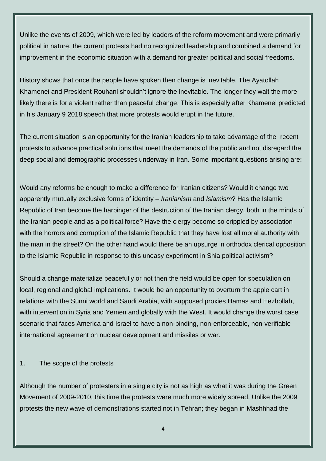Unlike the events of 2009, which were led by leaders of the reform movement and were primarily political in nature, the current protests had no recognized leadership and combined a demand for improvement in the economic situation with a demand for greater political and social freedoms.

History shows that once the people have spoken then change is inevitable. The Ayatollah Khamenei and President Rouhani shouldn't ignore the inevitable. The longer they wait the more likely there is for a violent rather than peaceful change. This is especially after Khamenei predicted in his January 9 2018 speech that more protests would erupt in the future.

The current situation is an opportunity for the Iranian leadership to take advantage of the recent protests to advance practical solutions that meet the demands of the public and not disregard the deep social and demographic processes underway in Iran. Some important questions arising are:

Would any reforms be enough to make a difference for Iranian citizens? Would it change two apparently mutually exclusive forms of identity – *Iranianism* and *Islamism*? Has the Islamic Republic of Iran become the harbinger of the destruction of the Iranian clergy, both in the minds of the Iranian people and as a political force? Have the clergy become so crippled by association with the horrors and corruption of the Islamic Republic that they have lost all moral authority with the man in the street? On the other hand would there be an upsurge in orthodox clerical opposition to the Islamic Republic in response to this uneasy experiment in Shia political activism?

Should a change materialize peacefully or not then the field would be open for speculation on local, regional and global implications. It would be an opportunity to overturn the apple cart in relations with the Sunni world and Saudi Arabia, with supposed proxies Hamas and Hezbollah, with intervention in Syria and Yemen and globally with the West. It would change the worst case scenario that faces America and Israel to have a non-binding, non-enforceable, non-verifiable international agreement on nuclear development and missiles or war.

1. The scope of the protests

Although the number of protesters in a single city is not as high as what it was during the Green Movement of 2009-2010, this time the protests were much more widely spread. Unlike the 2009 protests the new wave of demonstrations started not in Tehran; they began in Mashhhad the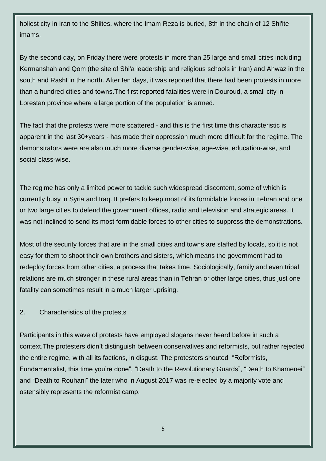holiest city in Iran to the Shiites, where the Imam Reza is buried, 8th in the chain of 12 Shi'ite imams.

By the second day, on Friday there were protests in more than 25 large and small cities including Kermanshah and Qom (the site of Shi'a leadership and religious schools in Iran) and Ahwaz in the south and Rasht in the north. After ten days, it was reported that there had been protests in more than a hundred cities and towns.The first reported fatalities were in Douroud, a small city in Lorestan province where a large portion of the population is armed.

The fact that the protests were more scattered - and this is the first time this characteristic is apparent in the last 30+years - has made their oppression much more difficult for the regime. The demonstrators were are also much more diverse gender-wise, age-wise, education-wise, and social class-wise.

The regime has only a limited power to tackle such widespread discontent, some of which is currently busy in Syria and Iraq. It prefers to keep most of its formidable forces in Tehran and one or two large cities to defend the government offices, radio and television and strategic areas. It was not inclined to send its most formidable forces to other cities to suppress the demonstrations.

Most of the security forces that are in the small cities and towns are staffed by locals, so it is not easy for them to shoot their own brothers and sisters, which means the government had to redeploy forces from other cities, a process that takes time. Sociologically, family and even tribal relations are much stronger in these rural areas than in Tehran or other large cities, thus just one fatality can sometimes result in a much larger uprising.

# 2. Characteristics of the protests

Participants in this wave of protests have employed slogans never heard before in such a context.The protesters didn't distinguish between conservatives and reformists, but rather rejected the entire regime, with all its factions, in disgust. The protesters shouted "Reformists, Fundamentalist, this time you're done", "Death to the Revolutionary Guards", "Death to Khamenei" and "Death to Rouhani" the later who in August 2017 was re-elected by a majority vote and ostensibly represents the reformist camp.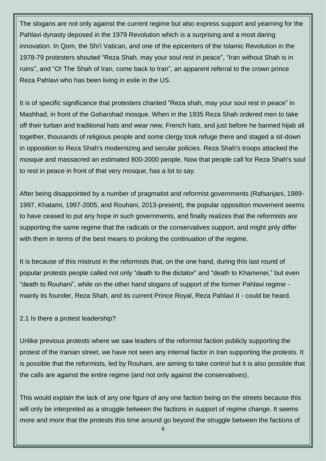The slogans are not only against the current regime but also express support and yearning for the Pahlavi dynasty deposed in the 1979 Revolution which is a surprising and a most daring innovation. In Qom, the Shi'i Vatican, and one of the epicenters of the Islamic Revolution in the 1978-79 protesters shouted "Reza Shah, may your soul rest in peace", "Iran without Shah is in ruins", and "O! The Shah of Iran, come back to Iran", an apparent referral to the crown prince Reza Pahlavi who has been living in exile in the US.

It is of specific significance that protesters chanted "Reza shah, may your soul rest in peace" in Mashhad, in front of the Goharshad mosque. When in the 1935 Reza Shah ordered men to take off their turban and traditional hats and wear new, French hats, and just before he banned hijab all together, thousands of religious people and some clergy took refuge there and staged a sit-down in opposition to Reza Shah's modernizing and secular policies. Reza Shah's troops attacked the mosque and massacred an estimated 800-2000 people. Now that people call for Reza Shah's soul to rest in peace in front of that very mosque, has a lot to say.

After being disappointed by a number of pragmatist and reformist governments (Rafsanjani, 1989- 1997, Khatami, 1997-2005, and Rouhani, 2013-present), the popular opposition movement seems to have ceased to put any hope in such governments, and finally realizes that the reformists are supporting the same regime that the radicals or the conservatives support, and might pnly differ with them in terms of the best means to prolong the continuation of the regime.

It is because of this mistrust in the reformists that, on the one hand, during this last round of popular protests people called not only "death to the dictator" and "death to Khamenei," but even "death to Rouhani", while on the other hand slogans of support of the former Pahlavi regime mainly its founder, Reza Shah, and its current Prince Royal, Reza Pahlavi II - could be heard.

## 2.1 Is there a protest leadership?

Unlike previous protests where we saw leaders of the reformist faction publicly supporting the protest of the Iranian street, we have not seen any internal factor in Iran supporting the protests. It is possible that the reformists, led by Rouhani, are aiming to take control but it is also possible that the calls are against the entire regime (and not only against the conservatives).

This would explain the lack of any one figure of any one faction being on the streets because this will only be interpreted as a struggle between the factions in support of regime change. It seems more and more that the protests this time around go beyond the struggle between the factions of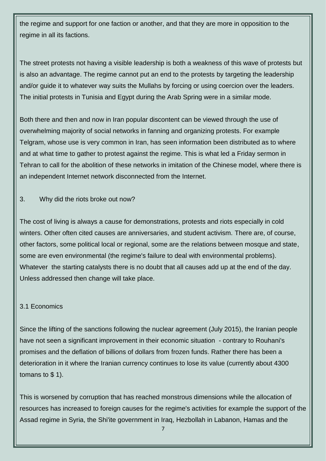the regime and support for one faction or another, and that they are more in opposition to the regime in all its factions.

The street protests not having a visible leadership is both a weakness of this wave of protests but is also an advantage. The regime cannot put an end to the protests by targeting the leadership and/or guide it to whatever way suits the Mullahs by forcing or using coercion over the leaders. The initial protests in Tunisia and Egypt during the Arab Spring were in a similar mode.

Both there and then and now in Iran popular discontent can be viewed through the use of overwhelming majority of social networks in fanning and organizing protests. For example Telgram, whose use is very common in Iran, has seen information been distributed as to where and at what time to gather to protest against the regime. This is what led a Friday sermon in Tehran to call for the abolition of these networks in imitation of the Chinese model, where there is an independent Internet network disconnected from the Internet.

3. Why did the riots broke out now?

The cost of living is always a cause for demonstrations, protests and riots especially in cold winters. Other often cited causes are anniversaries, and student activism. There are, of course, other factors, some political local or regional, some are the relations between mosque and state, some are even environmental (the regime's failure to deal with environmental problems). Whatever the starting catalysts there is no doubt that all causes add up at the end of the day. Unless addressed then change will take place.

## 3.1 Economics

Since the lifting of the sanctions following the nuclear agreement (July 2015), the Iranian people have not seen a significant improvement in their economic situation - contrary to Rouhani's promises and the deflation of billions of dollars from frozen funds. Rather there has been a deterioration in it where the Iranian currency continues to lose its value (currently about 4300 tomans to \$ 1).

This is worsened by corruption that has reached monstrous dimensions while the allocation of resources has increased to foreign causes for the regime's activities for example the support of the Assad regime in Syria, the Shi'ite government in Iraq, Hezbollah in Labanon, Hamas and the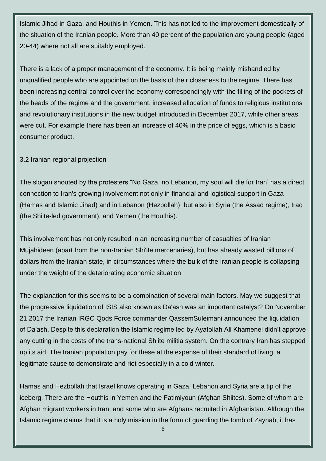Islamic Jihad in Gaza, and Houthis in Yemen. This has not led to the improvement domestically of the situation of the Iranian people. More than 40 percent of the population are young people (aged 20-44) where not all are suitably employed.

There is a lack of a proper management of the economy. It is being mainly mishandled by unqualified people who are appointed on the basis of their closeness to the regime. There has been increasing central control over the economy correspondingly with the filling of the pockets of the heads of the regime and the government, increased allocation of funds to religious institutions and revolutionary institutions in the new budget introduced in December 2017, while other areas were cut. For example there has been an increase of 40% in the price of eggs, which is a basic consumer product.

# 3.2 Iranian regional projection

The slogan shouted by the protesters "No Gaza, no Lebanon, my soul will die for Iran' has a direct connection to Iran's growing involvement not only in financial and logistical support in Gaza (Hamas and Islamic Jihad) and in Lebanon (Hezbollah), but also in Syria (the Assad regime), Iraq (the Shiite-led government), and Yemen (the Houthis).

This involvement has not only resulted in an increasing number of casualties of Iranian Mujahideen (apart from the non-Iranian Shi'ite mercenaries), but has already wasted billions of dollars from the Iranian state, in circumstances where the bulk of the Iranian people is collapsing under the weight of the deteriorating economic situation

The explanation for this seems to be a combination of several main factors. May we suggest that the progressive liquidation of ISIS also known as Da'ash was an important catalyst? On November 21 2017 the Iranian IRGC Qods Force commander QassemSuleimani announced the liquidation of Da'ash. Despite this declaration the Islamic regime led by Ayatollah Ali Khamenei didn't approve any cutting in the costs of the trans-national Shiite militia system. On the contrary Iran has stepped up its aid. The Iranian population pay for these at the expense of their standard of living, a legitimate cause to demonstrate and riot especially in a cold winter.

Hamas and Hezbollah that Israel knows operating in Gaza, Lebanon and Syria are a tip of the iceberg. There are the Houthis in Yemen and the Fatimiyoun (Afghan Shiites). Some of whom are Afghan migrant workers in Iran, and some who are Afghans recruited in Afghanistan. Although the Islamic regime claims that it is a holy mission in the form of guarding the tomb of Zaynab, it has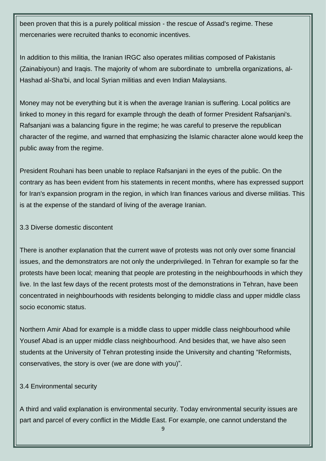been proven that this is a purely political mission - the rescue of Assad's regime. These mercenaries were recruited thanks to economic incentives.

In addition to this militia, the Iranian IRGC also operates militias composed of Pakistanis (Zainabiyoun) and Iraqis. The majority of whom are subordinate to umbrella organizations, al-Hashad al-Sha'bi, and local Syrian militias and even Indian Malaysians.

Money may not be everything but it is when the average Iranian is suffering. Local politics are linked to money in this regard for example through the death of former President Rafsanjani's. Rafsanjani was a balancing figure in the regime; he was careful to preserve the republican character of the regime, and warned that emphasizing the Islamic character alone would keep the public away from the regime.

President Rouhani has been unable to replace Rafsanjani in the eyes of the public. On the contrary as has been evident from his statements in recent months, where has expressed support for Iran's expansion program in the region, in which Iran finances various and diverse militias. This is at the expense of the standard of living of the average Iranian.

#### 3.3 Diverse domestic discontent

There is another explanation that the current wave of protests was not only over some financial issues, and the demonstrators are not only the underprivileged. In Tehran for example so far the protests have been local; meaning that people are protesting in the neighbourhoods in which they live. In the last few days of the recent protests most of the demonstrations in Tehran, have been concentrated in neighbourhoods with residents belonging to middle class and upper middle class socio economic status.

Northern Amir Abad for example is a middle class to upper middle class neighbourhood while Yousef Abad is an upper middle class neighbourhood. And besides that, we have also seen students at the University of Tehran protesting inside the University and chanting "Reformists, conservatives, the story is over (we are done with you)".

## 3.4 Environmental security

A third and valid explanation is environmental security. Today environmental security issues are part and parcel of every conflict in the Middle East. For example, one cannot understand the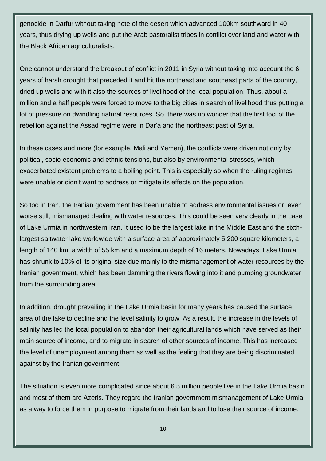genocide in Darfur without taking note of the desert which advanced 100km southward in 40 years, thus drying up wells and put the Arab pastoralist tribes in conflict over land and water with the Black African agriculturalists.

One cannot understand the breakout of conflict in 2011 in Syria without taking into account the 6 years of harsh drought that preceded it and hit the northeast and southeast parts of the country, dried up wells and with it also the sources of livelihood of the local population. Thus, about a million and a half people were forced to move to the big cities in search of livelihood thus putting a lot of pressure on dwindling natural resources. So, there was no wonder that the first foci of the rebellion against the Assad regime were in Dar'a and the northeast past of Syria.

In these cases and more (for example, Mali and Yemen), the conflicts were driven not only by political, socio-economic and ethnic tensions, but also by environmental stresses, which exacerbated existent problems to a boiling point. This is especially so when the ruling regimes were unable or didn't want to address or mitigate its effects on the population.

So too in Iran, the Iranian government has been unable to address environmental issues or, even worse still, mismanaged dealing with water resources. This could be seen very clearly in the case of Lake Urmia in northwestern Iran. It used to be the largest lake in the Middle East and the sixthlargest saltwater lake worldwide with a surface area of approximately 5,200 square kilometers, a length of 140 km, a width of 55 km and a maximum depth of 16 meters. Nowadays, Lake Urmia has shrunk to 10% of its original size due mainly to the mismanagement of water resources by the Iranian government, which has been damming the rivers flowing into it and pumping groundwater from the surrounding area.

In addition, drought prevailing in the Lake Urmia basin for many years has caused the surface area of the lake to decline and the level salinity to grow. As a result, the increase in the levels of salinity has led the local population to abandon their agricultural lands which have served as their main source of income, and to migrate in search of other sources of income. This has increased the level of unemployment among them as well as the feeling that they are being discriminated against by the Iranian government.

The situation is even more complicated since about 6.5 million people live in the Lake Urmia basin and most of them are Azeris. They regard the Iranian government mismanagement of Lake Urmia as a way to force them in purpose to migrate from their lands and to lose their source of income.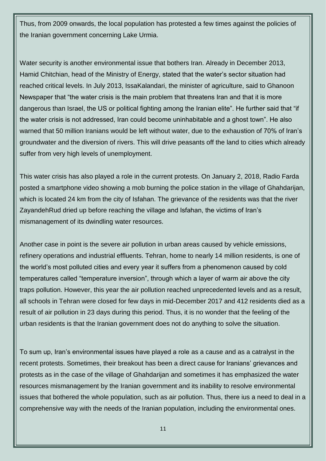Thus, from 2009 onwards, the local population has protested a few times against the policies of the Iranian government concerning Lake Urmia.

Water security is another environmental issue that bothers Iran. Already in December 2013, Hamid Chitchian, head of the Ministry of Energy, stated that the water's sector situation had reached critical levels. In July 2013, IssaKalandari, the minister of agriculture, said to Ghanoon Newspaper that "the water crisis is the main problem that threatens Iran and that it is more dangerous than Israel, the US or political fighting among the Iranian elite". He further said that "if the water crisis is not addressed, Iran could become uninhabitable and a ghost town". He also warned that 50 million Iranians would be left without water, due to the exhaustion of 70% of Iran's groundwater and the diversion of rivers. This will drive peasants off the land to cities which already suffer from very high levels of unemployment.

This water crisis has also played a role in the current protests. On January 2, 2018, Radio Farda posted a smartphone video showing a mob burning the police station in the village of Ghahdarijan, which is located 24 km from the city of Isfahan. The grievance of the residents was that the river ZayandehRud dried up before reaching the village and Isfahan, the victims of Iran's mismanagement of its dwindling water resources.

Another case in point is the severe air pollution in urban areas caused by vehicle emissions, refinery operations and industrial effluents. Tehran, home to nearly 14 million residents, is one of the world's most polluted cities and every year it suffers from a phenomenon caused by cold temperatures called "temperature inversion", through which a layer of warm air above the city traps pollution. However, this year the air pollution reached unprecedented levels and as a result, all schools in Tehran were closed for few days in mid-December 2017 and 412 residents died as a result of air pollution in 23 days during this period. Thus, it is no wonder that the feeling of the urban residents is that the Iranian government does not do anything to solve the situation.

To sum up, Iran's environmental issues have played a role as a cause and as a catralyst in the recent protests. Sometimes, their breakout has been a direct cause for Iranians' grievances and protests as in the case of the village of Ghahdarijan and sometimes it has emphasized the water resources mismanagement by the Iranian government and its inability to resolve environmental issues that bothered the whole population, such as air pollution. Thus, there ius a need to deal in a comprehensive way with the needs of the Iranian population, including the environmental ones.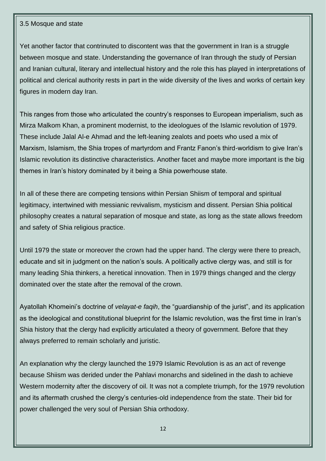#### 3.5 Mosque and state

Yet another factor that contrinuted to discontent was that the government in Iran is a struggle between mosque and state. Understanding the governance of Iran through the study of Persian and Iranian cultural, literary and intellectual history and the role this has played in interpretations of political and clerical authority rests in part in the wide diversity of the lives and works of certain key figures in modern day Iran.

This ranges from those who articulated the country's responses to European imperialism, such as Mirza Malkom Khan, a prominent modernist, to the ideologues of the Islamic revolution of 1979. These include Jalal Al-e Ahmad and the left-leaning zealots and poets who used a mix of Marxism, Islamism, the Shia tropes of martyrdom and Frantz Fanon's third-worldism to give Iran's Islamic revolution its distinctive characteristics. Another facet and maybe more important is the big themes in Iran's history dominated by it being a Shia powerhouse state.

In all of these there are competing tensions within Persian Shiism of temporal and spiritual legitimacy, intertwined with messianic revivalism, mysticism and dissent. Persian Shia political philosophy creates a natural separation of mosque and state, as long as the state allows freedom and safety of Shia religious practice.

Until 1979 the state or moreover the crown had the upper hand. The clergy were there to preach, educate and sit in judgment on the nation's souls. A politically active clergy was, and still is for many leading Shia thinkers, a heretical innovation. Then in 1979 things changed and the clergy dominated over the state after the removal of the crown.

Ayatollah Khomeini's doctrine of *velayat-e faqih*, the "guardianship of the jurist", and its application as the ideological and constitutional blueprint for the Islamic revolution, was the first time in Iran's Shia history that the clergy had explicitly articulated a theory of government. Before that they always preferred to remain scholarly and juristic.

An explanation why the clergy launched the 1979 Islamic Revolution is as an act of revenge because Shiism was derided under the Pahlavi monarchs and sidelined in the dash to achieve Western modernity after the discovery of oil. It was not a complete triumph, for the 1979 revolution and its aftermath crushed the clergy's centuries-old independence from the state. Their bid for power challenged the very soul of Persian Shia orthodoxy.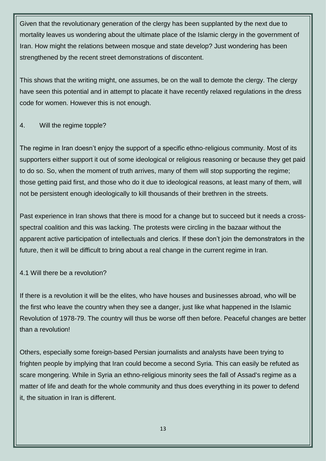Given that the revolutionary generation of the clergy has been supplanted by the next due to mortality leaves us wondering about the ultimate place of the Islamic clergy in the government of Iran. How might the relations between mosque and state develop? Just wondering has been strengthened by the recent street demonstrations of discontent.

This shows that the writing might, one assumes, be on the wall to demote the clergy. The clergy have seen this potential and in attempt to placate it have recently relaxed regulations in the dress code for women. However this is not enough.

# 4. Will the regime topple?

The regime in Iran doesn't enjoy the support of a specific ethno-religious community. Most of its supporters either support it out of some ideological or religious reasoning or because they get paid to do so. So, when the moment of truth arrives, many of them will stop supporting the regime; those getting paid first, and those who do it due to ideological reasons, at least many of them, will not be persistent enough ideologically to kill thousands of their brethren in the streets.

Past experience in Iran shows that there is mood for a change but to succeed but it needs a crossspectral coalition and this was lacking. The protests were circling in the bazaar without the apparent active participation of intellectuals and clerics. If these don't join the demonstrators in the future, then it will be difficult to bring about a real change in the current regime in Iran.

# 4.1 Will there be a revolution?

If there is a revolution it will be the elites, who have houses and businesses abroad, who will be the first who leave the country when they see a danger, just like what happened in the Islamic Revolution of 1978-79. The country will thus be worse off then before. Peaceful changes are better than a revolution!

Others, especially some foreign-based Persian journalists and analysts have been trying to frighten people by implying that Iran could become a second Syria. This can easily be refuted as scare mongering. While in Syria an ethno-religious minority sees the fall of Assad's regime as a matter of life and death for the whole community and thus does everything in its power to defend it, the situation in Iran is different.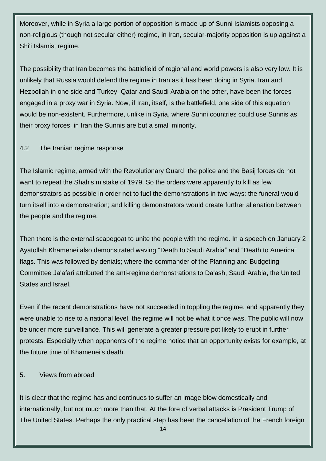Moreover, while in Syria a large portion of opposition is made up of Sunni Islamists opposing a non-religious (though not secular either) regime, in Iran, secular-majority opposition is up against a Shi'i Islamist regime.

The possibility that Iran becomes the battlefield of regional and world powers is also very low. It is unlikely that Russia would defend the regime in Iran as it has been doing in Syria. Iran and Hezbollah in one side and Turkey, Qatar and Saudi Arabia on the other, have been the forces engaged in a proxy war in Syria. Now, if Iran, itself, is the battlefield, one side of this equation would be non-existent. Furthermore, unlike in Syria, where Sunni countries could use Sunnis as their proxy forces, in Iran the Sunnis are but a small minority.

# 4.2 The Iranian regime response

The Islamic regime, armed with the Revolutionary Guard, the police and the Basij forces do not want to repeat the Shah's mistake of 1979. So the orders were apparently to kill as few demonstrators as possible in order not to fuel the demonstrations in two ways: the funeral would turn itself into a demonstration; and killing demonstrators would create further alienation between the people and the regime.

Then there is the external scapegoat to unite the people with the regime. In a speech on January 2 Ayatollah Khamenei also demonstrated waving "Death to Saudi Arabia" and "Death to America" flags. This was followed by denials; where the commander of the Planning and Budgeting Committee Ja'afari attributed the anti-regime demonstrations to Da'ash, Saudi Arabia, the United States and Israel.

Even if the recent demonstrations have not succeeded in toppling the regime, and apparently they were unable to rise to a national level, the regime will not be what it once was. The public will now be under more surveillance. This will generate a greater pressure pot likely to erupt in further protests. Especially when opponents of the regime notice that an opportunity exists for example, at the future time of Khamenei's death.

## 5. Views from abroad

It is clear that the regime has and continues to suffer an image blow domestically and internationally, but not much more than that. At the fore of verbal attacks is President Trump of The United States. Perhaps the only practical step has been the cancellation of the French foreign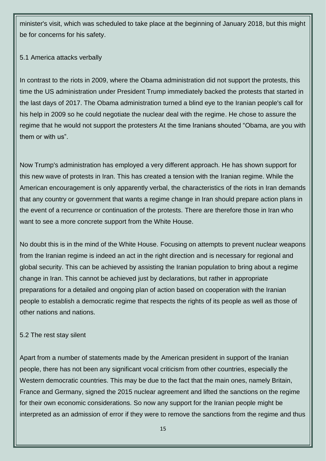minister's visit, which was scheduled to take place at the beginning of January 2018, but this might be for concerns for his safety.

# 5.1 America attacks verbally

In contrast to the riots in 2009, where the Obama administration did not support the protests, this time the US administration under President Trump immediately backed the protests that started in the last days of 2017. The Obama administration turned a blind eye to the Iranian people's call for his help in 2009 so he could negotiate the nuclear deal with the regime. He chose to assure the regime that he would not support the protesters At the time Iranians shouted "Obama, are you with them or with us".

Now Trump's administration has employed a very different approach. He has shown support for this new wave of protests in Iran. This has created a tension with the Iranian regime. While the American encouragement is only apparently verbal, the characteristics of the riots in Iran demands that any country or government that wants a regime change in Iran should prepare action plans in the event of a recurrence or continuation of the protests. There are therefore those in Iran who want to see a more concrete support from the White House.

No doubt this is in the mind of the White House. Focusing on attempts to prevent nuclear weapons from the Iranian regime is indeed an act in the right direction and is necessary for regional and global security. This can be achieved by assisting the Iranian population to bring about a regime change in Iran. This cannot be achieved just by declarations, but rather in appropriate preparations for a detailed and ongoing plan of action based on cooperation with the Iranian people to establish a democratic regime that respects the rights of its people as well as those of other nations and nations.

## 5.2 The rest stay silent

Apart from a number of statements made by the American president in support of the Iranian people, there has not been any significant vocal criticism from other countries, especially the Western democratic countries. This may be due to the fact that the main ones, namely Britain, France and Germany, signed the 2015 nuclear agreement and lifted the sanctions on the regime for their own economic considerations. So now any support for the Iranian people might be interpreted as an admission of error if they were to remove the sanctions from the regime and thus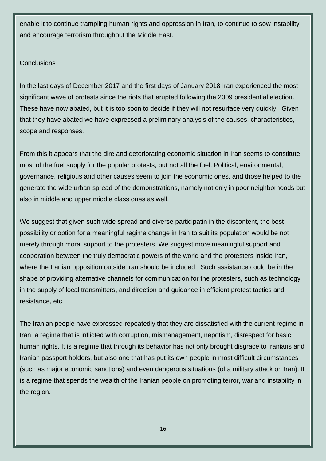enable it to continue trampling human rights and oppression in Iran, to continue to sow instability and encourage terrorism throughout the Middle East.

# **Conclusions**

In the last days of December 2017 and the first days of January 2018 Iran experienced the most significant wave of protests since the riots that erupted following the 2009 presidential election. These have now abated, but it is too soon to decide if they will not resurface very quickly. Given that they have abated we have expressed a preliminary analysis of the causes, characteristics, scope and responses.

From this it appears that the dire and deteriorating economic situation in Iran seems to constitute most of the fuel supply for the popular protests, but not all the fuel. Political, environmental, governance, religious and other causes seem to join the economic ones, and those helped to the generate the wide urban spread of the demonstrations, namely not only in poor neighborhoods but also in middle and upper middle class ones as well.

We suggest that given such wide spread and diverse participatin in the discontent, the best possibility or option for a meaningful regime change in Iran to suit its population would be not merely through moral support to the protesters. We suggest more meaningful support and cooperation between the truly democratic powers of the world and the protesters inside Iran, where the Iranian opposition outside Iran should be included. Such assistance could be in the shape of providing alternative channels for communication for the protesters, such as technology in the supply of local transmitters, and direction and guidance in efficient protest tactics and resistance, etc.

The Iranian people have expressed repeatedly that they are dissatisfied with the current regime in Iran, a regime that is inflicted with corruption, mismanagement, nepotism, disrespect for basic human rights. It is a regime that through its behavior has not only brought disgrace to Iranians and Iranian passport holders, but also one that has put its own people in most difficult circumstances (such as major economic sanctions) and even dangerous situations (of a military attack on Iran). It is a regime that spends the wealth of the Iranian people on promoting terror, war and instability in the region.